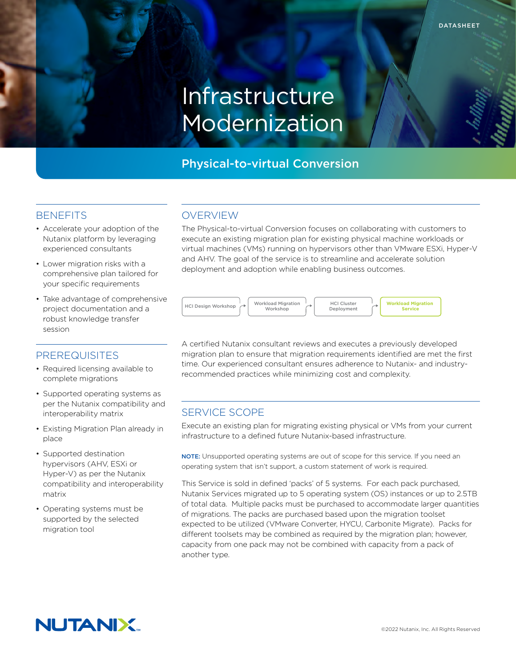# Infrastructure Modernization

# Physical-to-virtual Conversion

#### **BENEFITS**

- Accelerate your adoption of the Nutanix platform by leveraging experienced consultants
- Lower migration risks with a comprehensive plan tailored for your specific requirements
- Take advantage of comprehensive project documentation and a robust knowledge transfer session

# PREREQUISITES

- Required licensing available to complete migrations
- Supported operating systems as per the Nutanix compatibility and interoperability matrix
- Existing Migration Plan already in place
- Supported destination hypervisors (AHV, ESXi or Hyper-V) as per the Nutanix compatibility and interoperability matrix
- Operating systems must be supported by the selected migration tool

### OVERVIEW

The Physical-to-virtual Conversion focuses on collaborating with customers to execute an existing migration plan for existing physical machine workloads or virtual machines (VMs) running on hypervisors other than VMware ESXi, Hyper-V and AHV. The goal of the service is to streamline and accelerate solution deployment and adoption while enabling business outcomes.



A certified Nutanix consultant reviews and executes a previously developed migration plan to ensure that migration requirements identified are met the first time. Our experienced consultant ensures adherence to Nutanix- and industryrecommended practices while minimizing cost and complexity.

# SERVICE SCOPE

Execute an existing plan for migrating existing physical or VMs from your current infrastructure to a defined future Nutanix-based infrastructure.

NOTE: Unsupported operating systems are out of scope for this service. If you need an operating system that isn't support, a custom statement of work is required.

This Service is sold in defined 'packs' of 5 systems. For each pack purchased, Nutanix Services migrated up to 5 operating system (OS) instances or up to 2.5TB of total data. Multiple packs must be purchased to accommodate larger quantities of migrations. The packs are purchased based upon the migration toolset expected to be utilized (VMware Converter, HYCU, Carbonite Migrate). Packs for different toolsets may be combined as required by the migration plan; however, capacity from one pack may not be combined with capacity from a pack of another type.